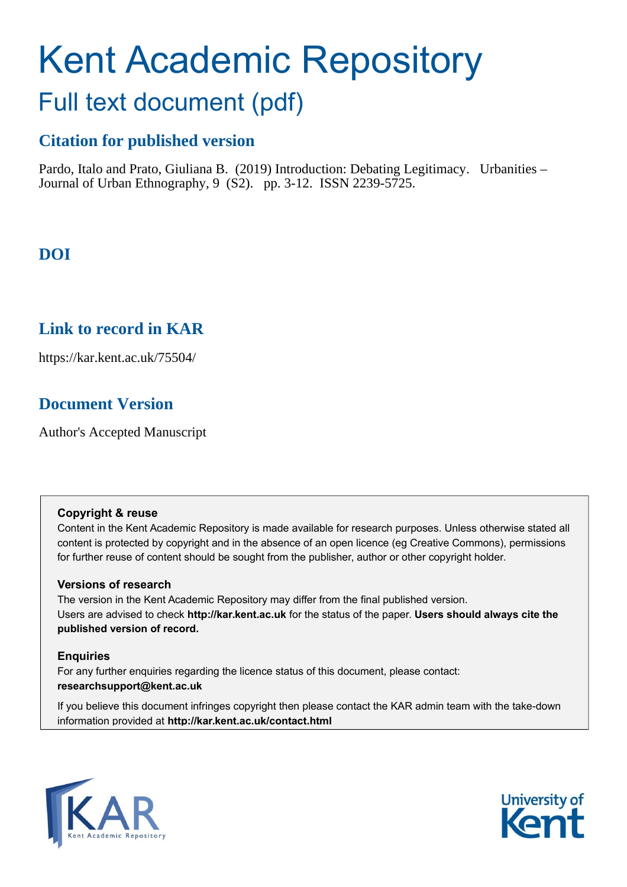# Kent Academic Repository Full text document (pdf)

## **Citation for published version**

Pardo, Italo and Prato, Giuliana B. (2019) Introduction: Debating Legitimacy. Urbanities – Journal of Urban Ethnography, 9 (S2). pp. 3-12. ISSN 2239-5725.

## **DOI**

### **Link to record in KAR**

https://kar.kent.ac.uk/75504/

## **Document Version**

Author's Accepted Manuscript

#### **Copyright & reuse**

Content in the Kent Academic Repository is made available for research purposes. Unless otherwise stated all content is protected by copyright and in the absence of an open licence (eg Creative Commons), permissions for further reuse of content should be sought from the publisher, author or other copyright holder.

#### **Versions of research**

The version in the Kent Academic Repository may differ from the final published version. Users are advised to check **http://kar.kent.ac.uk** for the status of the paper. **Users should always cite the published version of record.**

#### **Enquiries**

For any further enquiries regarding the licence status of this document, please contact: **researchsupport@kent.ac.uk**

If you believe this document infringes copyright then please contact the KAR admin team with the take-down information provided at **http://kar.kent.ac.uk/contact.html**



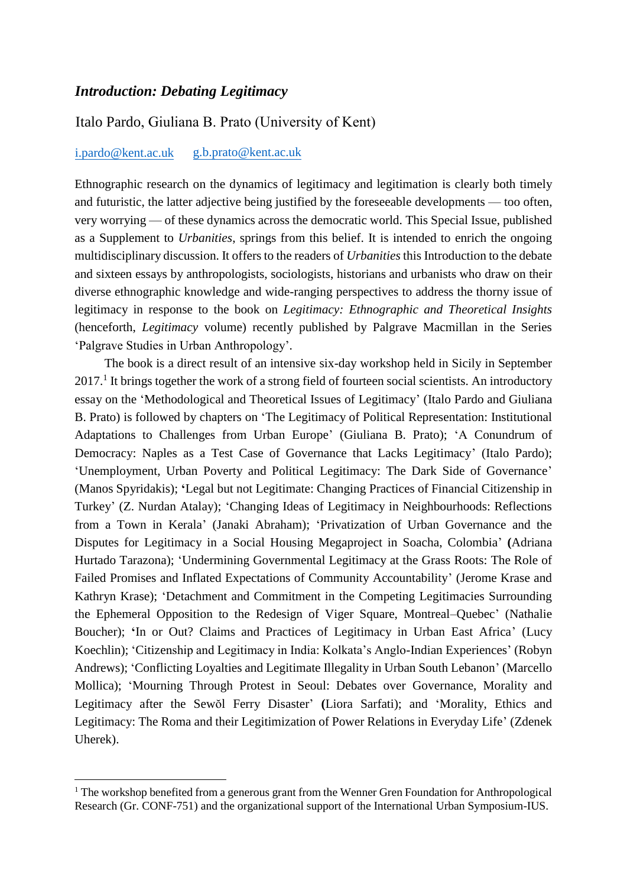#### *Introduction: Debating Legitimacy*

#### Italo Pardo, Giuliana B. Prato (University of Kent)

#### i.pardo@kent.ac.uk [g.b.prato@kent.ac.](mailto:i.pardo@kent.ac.uk)uk

Ethnographic research on the dynamics of legitimacy and legitimation is clearly both timely and futuristic, the latter adjective being justified by the foreseeable developments — too often, very worrying — of these dynamics across the democratic world. This Special Issue, published as a Supplement to *Urbanities*, springs from this belief. It is intended to enrich the ongoing multidisciplinary discussion. It offers to the readers of *Urbanities* this Introduction to the debate and sixteen essays by anthropologists, sociologists, historians and urbanists who draw on their diverse ethnographic knowledge and wide-ranging perspectives to address the thorny issue of legitimacy in response to the book on *Legitimacy: Ethnographic and Theoretical Insights* (henceforth, *Legitimacy* volume) recently published by Palgrave Macmillan in the Series 'Palgrave Studies in Urban Anthropology'.

The book is a direct result of an intensive six-day workshop held in Sicily in September 2017.<sup>1</sup> It brings together the work of a strong field of fourteen social scientists. An introductory essay on the 'Methodological and Theoretical Issues of Legitimacy' (Italo Pardo and Giuliana B. Prato) is followed by chapters on 'The Legitimacy of Political Representation: Institutional Adaptations to Challenges from Urban Europe' (Giuliana B. Prato); 'A Conundrum of Democracy: Naples as a Test Case of Governance that Lacks Legitimacy' (Italo Pardo); 'Unemployment, Urban Poverty and Political Legitimacy: The Dark Side of Governance' (Manos Spyridakis); **'**Legal but not Legitimate: Changing Practices of Financial Citizenship in Turkey' (Z. Nurdan Atalay); 'Changing Ideas of Legitimacy in Neighbourhoods: Reflections from a Town in Kerala' (Janaki Abraham); 'Privatization of Urban Governance and the Disputes for Legitimacy in a Social Housing Megaproject in Soacha, Colombia' **(**Adriana Hurtado Tarazona); 'Undermining Governmental Legitimacy at the Grass Roots: The Role of Failed Promises and Inflated Expectations of Community Accountability' (Jerome Krase and Kathryn Krase); 'Detachment and Commitment in the Competing Legitimacies Surrounding the Ephemeral Opposition to the Redesign of Viger Square, Montreal–Quebec' (Nathalie Boucher); **'**In or Out? Claims and Practices of Legitimacy in Urban East Africa' (Lucy Koechlin); 'Citizenship and Legitimacy in India: Kolkata's Anglo-Indian Experiences' (Robyn Andrews); 'Conflicting Loyalties and Legitimate Illegality in Urban South Lebanon' (Marcello Mollica); 'Mourning Through Protest in Seoul: Debates over Governance, Morality and Legitimacy after the Sewŏl Ferry Disaster' **(**Liora Sarfati); and 'Morality, Ethics and Legitimacy: The Roma and their Legitimization of Power Relations in Everyday Life' (Zdenek Uherek).

<sup>&</sup>lt;sup>1</sup> The workshop benefited from a generous grant from the Wenner Gren Foundation for Anthropological Research (Gr. CONF-751) and the organizational support of the International Urban Symposium-IUS.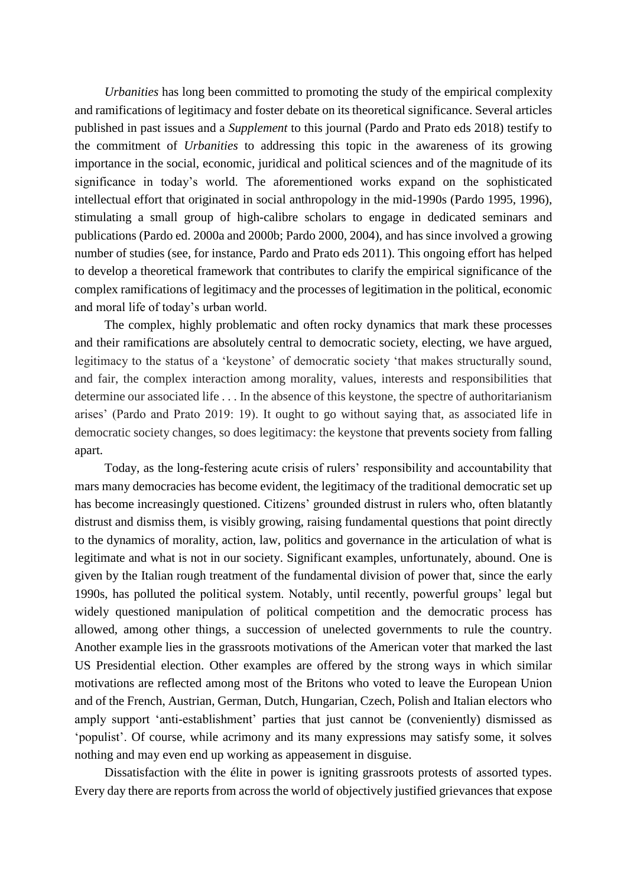*Urbanities* has long been committed to promoting the study of the empirical complexity and ramifications of legitimacy and foster debate on its theoretical significance. Several articles published in past issues and a *Supplement* to this journal (Pardo and Prato eds 2018) testify to the commitment of *Urbanities* to addressing this topic in the awareness of its growing importance in the social, economic, juridical and political sciences and of the magnitude of its significance in today's world. The aforementioned works expand on the sophisticated intellectual effort that originated in social anthropology in the mid-1990s (Pardo 1995, 1996), stimulating a small group of high-calibre scholars to engage in dedicated seminars and publications (Pardo ed. 2000a and 2000b; Pardo 2000, 2004), and has since involved a growing number of studies (see, for instance, Pardo and Prato eds 2011). This ongoing effort has helped to develop a theoretical framework that contributes to clarify the empirical significance of the complex ramifications of legitimacy and the processes of legitimation in the political, economic and moral life of today's urban world.

The complex, highly problematic and often rocky dynamics that mark these processes and their ramifications are absolutely central to democratic society, electing, we have argued, legitimacy to the status of a 'keystone' of democratic society 'that makes structurally sound, and fair, the complex interaction among morality, values, interests and responsibilities that determine our associated life . . . In the absence of this keystone, the spectre of authoritarianism arises' (Pardo and Prato 2019: 19). It ought to go without saying that, as associated life in democratic society changes, so does legitimacy: the keystone that prevents society from falling apart.

Today, as the long-festering acute crisis of rulers' responsibility and accountability that mars many democracies has become evident, the legitimacy of the traditional democratic set up has become increasingly questioned. Citizens' grounded distrust in rulers who, often blatantly distrust and dismiss them, is visibly growing, raising fundamental questions that point directly to the dynamics of morality, action, law, politics and governance in the articulation of what is legitimate and what is not in our society. Significant examples, unfortunately, abound. One is given by the Italian rough treatment of the fundamental division of power that, since the early 1990s, has polluted the political system. Notably, until recently, powerful groups' legal but widely questioned manipulation of political competition and the democratic process has allowed, among other things, a succession of unelected governments to rule the country. Another example lies in the grassroots motivations of the American voter that marked the last US Presidential election. Other examples are offered by the strong ways in which similar motivations are reflected among most of the Britons who voted to leave the European Union and of the French, Austrian, German, Dutch, Hungarian, Czech, Polish and Italian electors who amply support 'anti-establishment' parties that just cannot be (conveniently) dismissed as 'populist'. Of course, while acrimony and its many expressions may satisfy some, it solves nothing and may even end up working as appeasement in disguise.

Dissatisfaction with the élite in power is igniting grassroots protests of assorted types. Every day there are reports from across the world of objectively justified grievances that expose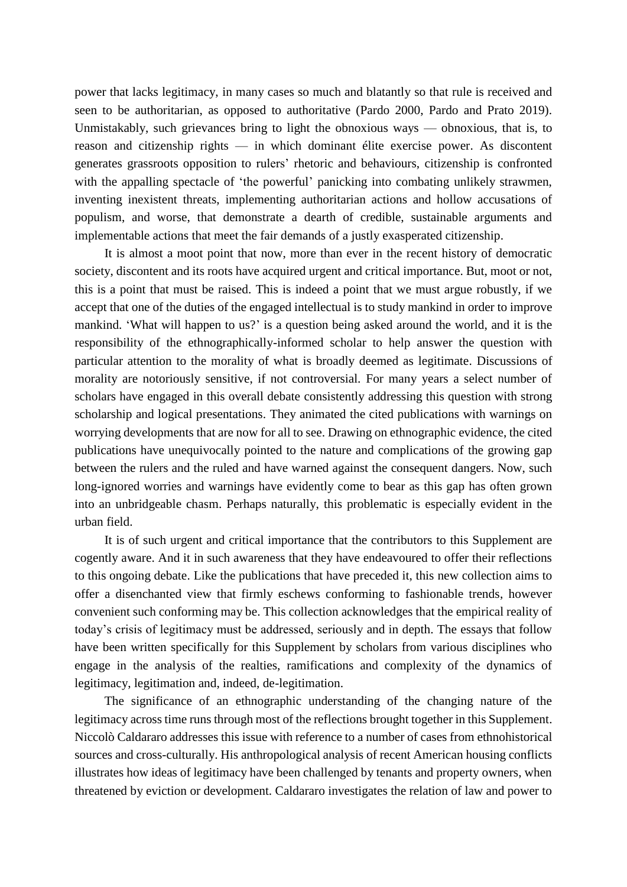power that lacks legitimacy, in many cases so much and blatantly so that rule is received and seen to be authoritarian, as opposed to authoritative (Pardo 2000, Pardo and Prato 2019). Unmistakably, such grievances bring to light the obnoxious ways — obnoxious, that is, to reason and citizenship rights — in which dominant élite exercise power. As discontent generates grassroots opposition to rulers' rhetoric and behaviours, citizenship is confronted with the appalling spectacle of 'the powerful' panicking into combating unlikely strawmen, inventing inexistent threats, implementing authoritarian actions and hollow accusations of populism, and worse, that demonstrate a dearth of credible, sustainable arguments and implementable actions that meet the fair demands of a justly exasperated citizenship.

It is almost a moot point that now, more than ever in the recent history of democratic society, discontent and its roots have acquired urgent and critical importance. But, moot or not, this is a point that must be raised. This is indeed a point that we must argue robustly, if we accept that one of the duties of the engaged intellectual is to study mankind in order to improve mankind. 'What will happen to us?' is a question being asked around the world, and it is the responsibility of the ethnographically-informed scholar to help answer the question with particular attention to the morality of what is broadly deemed as legitimate. Discussions of morality are notoriously sensitive, if not controversial. For many years a select number of scholars have engaged in this overall debate consistently addressing this question with strong scholarship and logical presentations. They animated the cited publications with warnings on worrying developments that are now for all to see. Drawing on ethnographic evidence, the cited publications have unequivocally pointed to the nature and complications of the growing gap between the rulers and the ruled and have warned against the consequent dangers. Now, such long-ignored worries and warnings have evidently come to bear as this gap has often grown into an unbridgeable chasm. Perhaps naturally, this problematic is especially evident in the urban field.

It is of such urgent and critical importance that the contributors to this Supplement are cogently aware. And it in such awareness that they have endeavoured to offer their reflections to this ongoing debate. Like the publications that have preceded it, this new collection aims to offer a disenchanted view that firmly eschews conforming to fashionable trends, however convenient such conforming may be. This collection acknowledges that the empirical reality of today's crisis of legitimacy must be addressed, seriously and in depth. The essays that follow have been written specifically for this Supplement by scholars from various disciplines who engage in the analysis of the realties, ramifications and complexity of the dynamics of legitimacy, legitimation and, indeed, de-legitimation.

The significance of an ethnographic understanding of the changing nature of the legitimacy across time runs through most of the reflections brought together in this Supplement. Niccolò Caldararo addresses this issue with reference to a number of cases from ethnohistorical sources and cross-culturally. His anthropological analysis of recent American housing conflicts illustrates how ideas of legitimacy have been challenged by tenants and property owners, when threatened by eviction or development. Caldararo investigates the relation of law and power to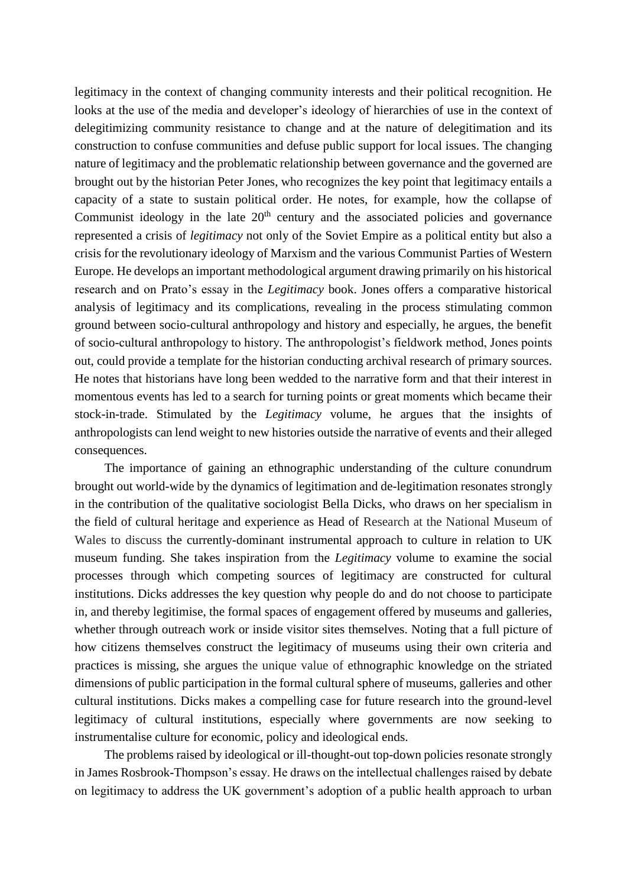legitimacy in the context of changing community interests and their political recognition. He looks at the use of the media and developer's ideology of hierarchies of use in the context of delegitimizing community resistance to change and at the nature of delegitimation and its construction to confuse communities and defuse public support for local issues. The changing nature of legitimacy and the problematic relationship between governance and the governed are brought out by the historian Peter Jones, who recognizes the key point that legitimacy entails a capacity of a state to sustain political order. He notes, for example, how the collapse of Communist ideology in the late  $20<sup>th</sup>$  century and the associated policies and governance represented a crisis of *legitimacy* not only of the Soviet Empire as a political entity but also a crisis for the revolutionary ideology of Marxism and the various Communist Parties of Western Europe. He develops an important methodological argument drawing primarily on his historical research and on Prato's essay in the *Legitimacy* book. Jones offers a comparative historical analysis of legitimacy and its complications, revealing in the process stimulating common ground between socio-cultural anthropology and history and especially, he argues, the benefit of socio-cultural anthropology to history. The anthropologist's fieldwork method, Jones points out, could provide a template for the historian conducting archival research of primary sources. He notes that historians have long been wedded to the narrative form and that their interest in momentous events has led to a search for turning points or great moments which became their stock-in-trade. Stimulated by the *Legitimacy* volume, he argues that the insights of anthropologists can lend weight to new histories outside the narrative of events and their alleged consequences.

The importance of gaining an ethnographic understanding of the culture conundrum brought out world-wide by the dynamics of legitimation and de-legitimation resonates strongly in the contribution of the qualitative sociologist Bella Dicks, who draws on her specialism in the field of cultural heritage and experience as Head of Research at the National Museum of Wales to discuss the currently-dominant instrumental approach to culture in relation to UK museum funding. She takes inspiration from the *Legitimacy* volume to examine the social processes through which competing sources of legitimacy are constructed for cultural institutions. Dicks addresses the key question why people do and do not choose to participate in, and thereby legitimise, the formal spaces of engagement offered by museums and galleries, whether through outreach work or inside visitor sites themselves. Noting that a full picture of how citizens themselves construct the legitimacy of museums using their own criteria and practices is missing, she argues the unique value of ethnographic knowledge on the striated dimensions of public participation in the formal cultural sphere of museums, galleries and other cultural institutions. Dicks makes a compelling case for future research into the ground-level legitimacy of cultural institutions, especially where governments are now seeking to instrumentalise culture for economic, policy and ideological ends.

The problems raised by ideological or ill-thought-out top-down policies resonate strongly in James Rosbrook-Thompson's essay. He draws on the intellectual challenges raised by debate on legitimacy to address the UK government's adoption of a public health approach to urban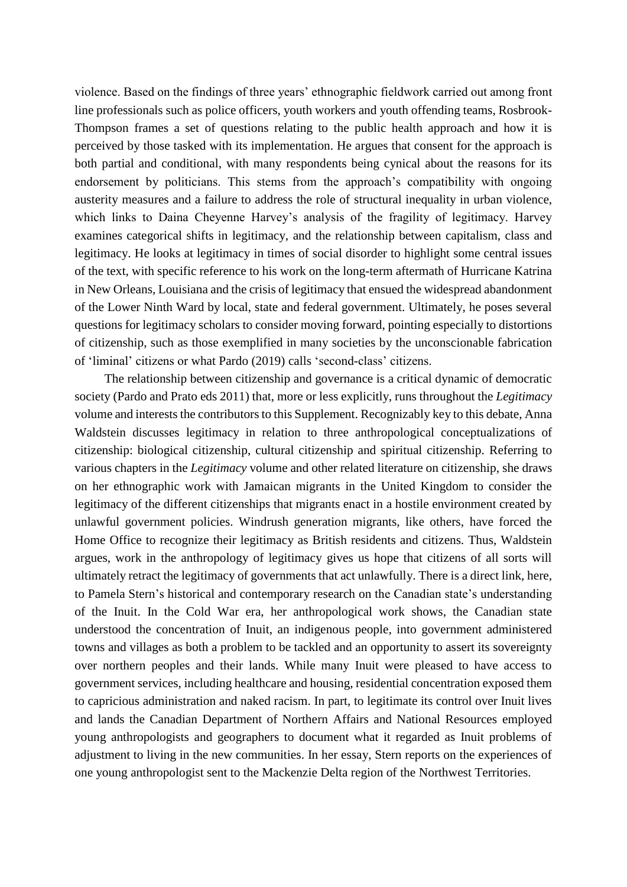violence. Based on the findings of three years' ethnographic fieldwork carried out among front line professionals such as police officers, youth workers and youth offending teams, Rosbrook-Thompson frames a set of questions relating to the public health approach and how it is perceived by those tasked with its implementation. He argues that consent for the approach is both partial and conditional, with many respondents being cynical about the reasons for its endorsement by politicians. This stems from the approach's compatibility with ongoing austerity measures and a failure to address the role of structural inequality in urban violence, which links to Daina Cheyenne Harvey's analysis of the fragility of legitimacy. Harvey examines categorical shifts in legitimacy, and the relationship between capitalism, class and legitimacy. He looks at legitimacy in times of social disorder to highlight some central issues of the text, with specific reference to his work on the long-term aftermath of Hurricane Katrina in New Orleans, Louisiana and the crisis of legitimacy that ensued the widespread abandonment of the Lower Ninth Ward by local, state and federal government. Ultimately, he poses several questions for legitimacy scholars to consider moving forward, pointing especially to distortions of citizenship, such as those exemplified in many societies by the unconscionable fabrication of 'liminal' citizens or what Pardo (2019) calls 'second-class' citizens.

The relationship between citizenship and governance is a critical dynamic of democratic society (Pardo and Prato eds 2011) that, more or less explicitly, runs throughout the *Legitimacy* volume and interests the contributors to this Supplement. Recognizably key to this debate, Anna Waldstein discusses legitimacy in relation to three anthropological conceptualizations of citizenship: biological citizenship, cultural citizenship and spiritual citizenship. Referring to various chapters in the *Legitimacy* volume and other related literature on citizenship, she draws on her ethnographic work with Jamaican migrants in the United Kingdom to consider the legitimacy of the different citizenships that migrants enact in a hostile environment created by unlawful government policies. Windrush generation migrants, like others, have forced the Home Office to recognize their legitimacy as British residents and citizens. Thus, Waldstein argues, work in the anthropology of legitimacy gives us hope that citizens of all sorts will ultimately retract the legitimacy of governments that act unlawfully. There is a direct link, here, to Pamela Stern's historical and contemporary research on the Canadian state's understanding of the Inuit. In the Cold War era, her anthropological work shows, the Canadian state understood the concentration of Inuit, an indigenous people, into government administered towns and villages as both a problem to be tackled and an opportunity to assert its sovereignty over northern peoples and their lands. While many Inuit were pleased to have access to government services, including healthcare and housing, residential concentration exposed them to capricious administration and naked racism. In part, to legitimate its control over Inuit lives and lands the Canadian Department of Northern Affairs and National Resources employed young anthropologists and geographers to document what it regarded as Inuit problems of adjustment to living in the new communities. In her essay, Stern reports on the experiences of one young anthropologist sent to the Mackenzie Delta region of the Northwest Territories.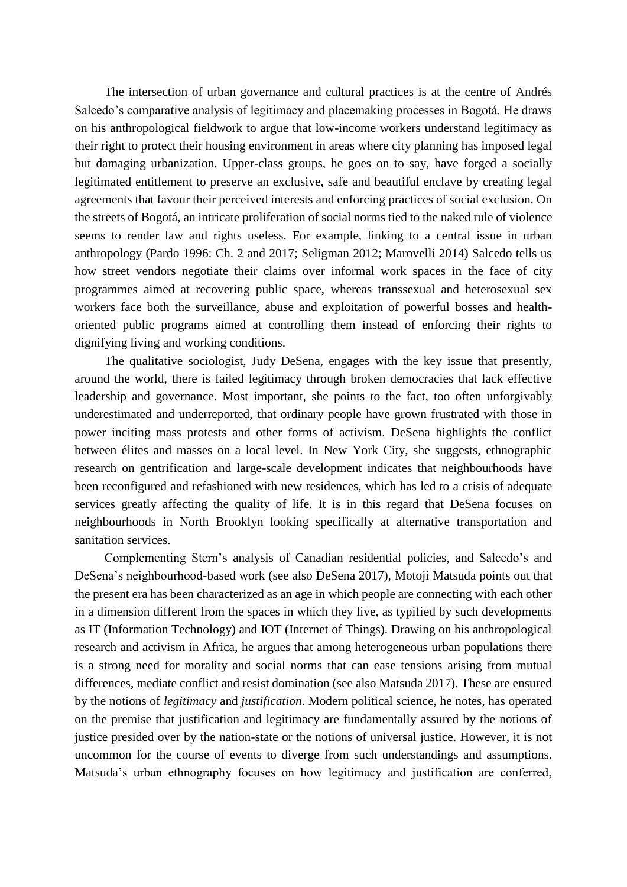The intersection of urban governance and cultural practices is at the centre of Andrés Salcedo's comparative analysis of legitimacy and placemaking processes in Bogotá. He draws on his anthropological fieldwork to argue that low-income workers understand legitimacy as their right to protect their housing environment in areas where city planning has imposed legal but damaging urbanization. Upper-class groups, he goes on to say, have forged a socially legitimated entitlement to preserve an exclusive, safe and beautiful enclave by creating legal agreements that favour their perceived interests and enforcing practices of social exclusion. On the streets of Bogotá, an intricate proliferation of social norms tied to the naked rule of violence seems to render law and rights useless. For example, linking to a central issue in urban anthropology (Pardo 1996: Ch. 2 and 2017; Seligman 2012; Marovelli 2014) Salcedo tells us how street vendors negotiate their claims over informal work spaces in the face of city programmes aimed at recovering public space, whereas transsexual and heterosexual sex workers face both the surveillance, abuse and exploitation of powerful bosses and healthoriented public programs aimed at controlling them instead of enforcing their rights to dignifying living and working conditions.

The qualitative sociologist, Judy DeSena, engages with the key issue that presently, around the world, there is failed legitimacy through broken democracies that lack effective leadership and governance. Most important, she points to the fact, too often unforgivably underestimated and underreported, that ordinary people have grown frustrated with those in power inciting mass protests and other forms of activism. DeSena highlights the conflict between élites and masses on a local level. In New York City, she suggests, ethnographic research on gentrification and large-scale development indicates that neighbourhoods have been reconfigured and refashioned with new residences, which has led to a crisis of adequate services greatly affecting the quality of life. It is in this regard that DeSena focuses on neighbourhoods in North Brooklyn looking specifically at alternative transportation and sanitation services.

Complementing Stern's analysis of Canadian residential policies, and Salcedo's and DeSena's neighbourhood-based work (see also DeSena 2017), Motoji Matsuda points out that the present era has been characterized as an age in which people are connecting with each other in a dimension different from the spaces in which they live, as typified by such developments as IT (Information Technology) and IOT (Internet of Things). Drawing on his anthropological research and activism in Africa, he argues that among heterogeneous urban populations there is a strong need for morality and social norms that can ease tensions arising from mutual differences, mediate conflict and resist domination (see also Matsuda 2017). These are ensured by the notions of *legitimacy* and *justification*. Modern political science, he notes, has operated on the premise that justification and legitimacy are fundamentally assured by the notions of justice presided over by the nation-state or the notions of universal justice. However, it is not uncommon for the course of events to diverge from such understandings and assumptions. Matsuda's urban ethnography focuses on how legitimacy and justification are conferred,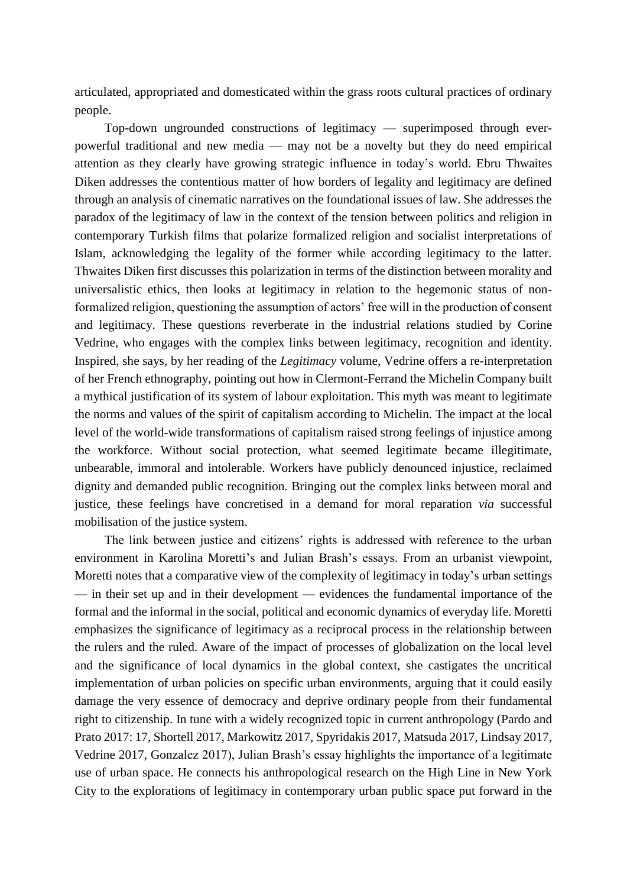articulated, appropriated and domesticated within the grass roots cultural practices of ordinary people.

Top-down ungrounded constructions of legitimacy — superimposed through everpowerful traditional and new media — may not be a novelty but they do need empirical attention as they clearly have growing strategic influence in today's world. Ebru Thwaites Diken addresses the contentious matter of how borders of legality and legitimacy are defined through an analysis of cinematic narratives on the foundational issues of law. She addresses the paradox of the legitimacy of law in the context of the tension between politics and religion in contemporary Turkish films that polarize formalized religion and socialist interpretations of Islam, acknowledging the legality of the former while according legitimacy to the latter. Thwaites Diken first discusses this polarization in terms of the distinction between morality and universalistic ethics, then looks at legitimacy in relation to the hegemonic status of nonformalized religion, questioning the assumption of actors' free will in the production of consent and legitimacy. These questions reverberate in the industrial relations studied by Corine Vedrine, who engages with the complex links between legitimacy, recognition and identity. Inspired, she says, by her reading of the *Legitimacy* volume, Vedrine offers a re-interpretation of her French ethnography, pointing out how in Clermont-Ferrand the Michelin Company built a mythical justification of its system of labour exploitation. This myth was meant to legitimate the norms and values of the spirit of capitalism according to Michelin. The impact at the local level of the world-wide transformations of capitalism raised strong feelings of injustice among the workforce. Without social protection, what seemed legitimate became illegitimate, unbearable, immoral and intolerable. Workers have publicly denounced injustice, reclaimed dignity and demanded public recognition. Bringing out the complex links between moral and justice, these feelings have concretised in a demand for moral reparation *via* successful mobilisation of the justice system.

The link between justice and citizens' rights is addressed with reference to the urban environment in Karolina Moretti's and Julian Brash's essays. From an urbanist viewpoint, Moretti notes that a comparative view of the complexity of legitimacy in today's urban settings — in their set up and in their development — evidences the fundamental importance of the formal and the informal in the social, political and economic dynamics of everyday life. Moretti emphasizes the significance of legitimacy as a reciprocal process in the relationship between the rulers and the ruled. Aware of the impact of processes of globalization on the local level and the significance of local dynamics in the global context, she castigates the uncritical implementation of urban policies on specific urban environments, arguing that it could easily damage the very essence of democracy and deprive ordinary people from their fundamental right to citizenship. In tune with a widely recognized topic in current anthropology (Pardo and Prato 2017: 17, Shortell 2017, Markowitz 2017, Spyridakis 2017, Matsuda 2017, Lindsay 2017, Vedrine 2017, Gonzalez 2017), Julian Brash's essay highlights the importance of a legitimate use of urban space. He connects his anthropological research on the High Line in New York City to the explorations of legitimacy in contemporary urban public space put forward in the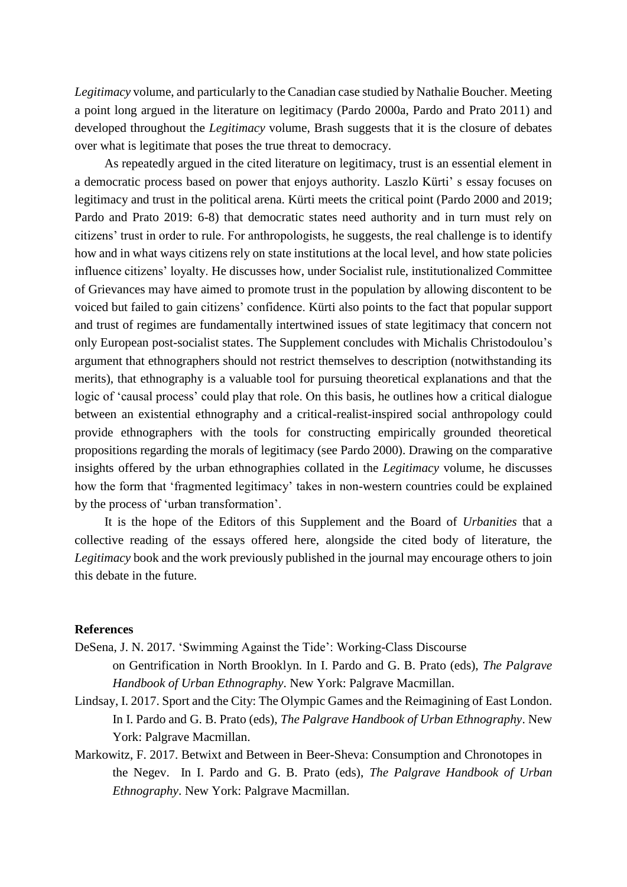*Legitimacy* volume, and particularly to the Canadian case studied by Nathalie Boucher. Meeting a point long argued in the literature on legitimacy (Pardo 2000a, Pardo and Prato 2011) and developed throughout the *Legitimacy* volume, Brash suggests that it is the closure of debates over what is legitimate that poses the true threat to democracy.

As repeatedly argued in the cited literature on legitimacy, trust is an essential element in a democratic process based on power that enjoys authority. Laszlo Kürti' s essay focuses on legitimacy and trust in the political arena. Kürti meets the critical point (Pardo 2000 and 2019; Pardo and Prato 2019: 6-8) that democratic states need authority and in turn must rely on citizens' trust in order to rule. For anthropologists, he suggests, the real challenge is to identify how and in what ways citizens rely on state institutions at the local level, and how state policies influence citizens' loyalty. He discusses how, under Socialist rule, institutionalized Committee of Grievances may have aimed to promote trust in the population by allowing discontent to be voiced but failed to gain citizens' confidence. Kürti also points to the fact that popular support and trust of regimes are fundamentally intertwined issues of state legitimacy that concern not only European post-socialist states. The Supplement concludes with Michalis Christodoulou's argument that ethnographers should not restrict themselves to description (notwithstanding its merits), that ethnography is a valuable tool for pursuing theoretical explanations and that the logic of 'causal process' could play that role. On this basis, he outlines how a critical dialogue between an existential ethnography and a critical-realist-inspired social anthropology could provide ethnographers with the tools for constructing empirically grounded theoretical propositions regarding the morals of legitimacy (see Pardo 2000). Drawing on the comparative insights offered by the urban ethnographies collated in the *Legitimacy* volume, he discusses how the form that 'fragmented legitimacy' takes in non-western countries could be explained by the process of 'urban transformation'.

It is the hope of the Editors of this Supplement and the Board of *Urbanities* that a collective reading of the essays offered here, alongside the cited body of literature, the *Legitimacy* book and the work previously published in the journal may encourage others to join this debate in the future.

#### **References**

DeSena, J. N. 2017. 'Swimming Against the Tide': Working-Class Discourse

on Gentrification in North Brooklyn. In I. Pardo and G. B. Prato (eds), *The Palgrave Handbook of Urban Ethnography*. New York: Palgrave Macmillan.

- Lindsay, I. 2017. Sport and the City: The Olympic Games and the Reimagining of East London. In I. Pardo and G. B. Prato (eds), *The Palgrave Handbook of Urban Ethnography*. New York: Palgrave Macmillan.
- Markowitz, F. 2017. Betwixt and Between in Beer-Sheva: Consumption and Chronotopes in the Negev. In I. Pardo and G. B. Prato (eds), *The Palgrave Handbook of Urban Ethnography*. New York: Palgrave Macmillan.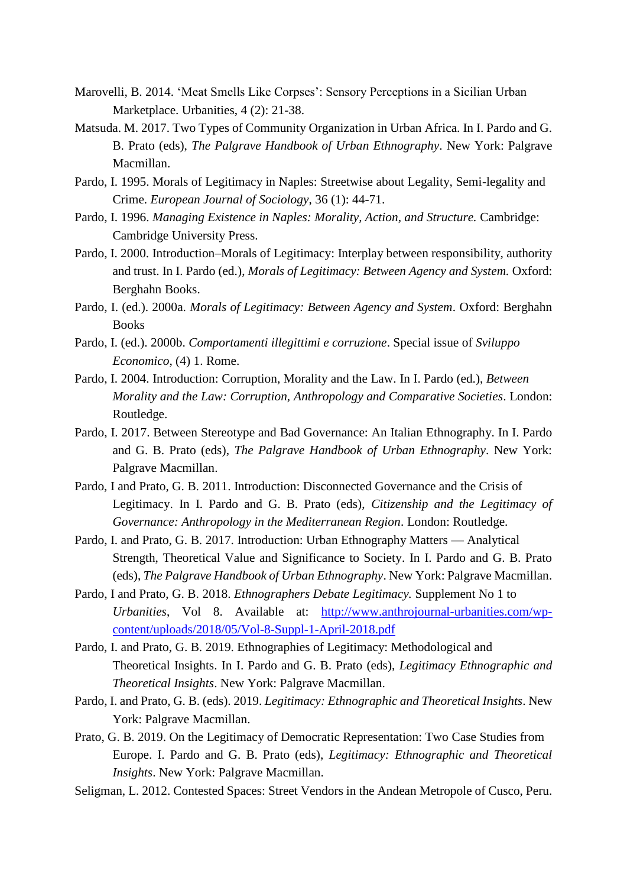- Marovelli, B. 2014. 'Meat Smells Like Corpses': Sensory Perceptions in a Sicilian Urban Marketplace. Urbanities, 4 (2): 21-38.
- Matsuda. M. 2017. Two Types of Community Organization in Urban Africa. In I. Pardo and G. B. Prato (eds), *The Palgrave Handbook of Urban Ethnography*. New York: Palgrave Macmillan.
- Pardo, I. 1995. Morals of Legitimacy in Naples: Streetwise about Legality, Semi-legality and Crime. *European Journal of Sociology*, 36 (1): 44-71.
- Pardo, I. 1996. *Managing Existence in Naples: Morality, Action, and Structure.* Cambridge: Cambridge University Press.
- Pardo, I. 2000. Introduction–Morals of Legitimacy: Interplay between responsibility, authority and trust. In I. Pardo (ed.), *Morals of Legitimacy: Between Agency and System.* Oxford: Berghahn Books.
- Pardo, I. (ed.). 2000a. *Morals of Legitimacy: Between Agency and System*. Oxford: Berghahn Books
- Pardo, I. (ed.). 2000b. *Comportamenti illegittimi e corruzione*. Special issue of *Sviluppo Economico*, (4) 1. Rome.
- Pardo, I. 2004. Introduction: Corruption, Morality and the Law. In I. Pardo (ed.), *Between Morality and the Law: Corruption, Anthropology and Comparative Societies*. London: Routledge.
- Pardo, I. 2017. Between Stereotype and Bad Governance: An Italian Ethnography. In I. Pardo and G. B. Prato (eds), *The Palgrave Handbook of Urban Ethnography*. New York: Palgrave Macmillan.
- Pardo, I and Prato, G. B. 2011. Introduction: Disconnected Governance and the Crisis of Legitimacy. In I. Pardo and G. B. Prato (eds), *Citizenship and the Legitimacy of Governance: Anthropology in the Mediterranean Region*. London: Routledge.
- Pardo, I. and Prato, G. B. 2017. Introduction: Urban Ethnography Matters Analytical Strength, Theoretical Value and Significance to Society. In I. Pardo and G. B. Prato (eds), *The Palgrave Handbook of Urban Ethnography*. New York: Palgrave Macmillan.
- Pardo, I and Prato, G. B. 2018. *Ethnographers Debate Legitimacy.* Supplement No 1 to *Urbanities*, Vol 8. Available at: [http://www.anthrojournal-urbanities.com/wp](http://www.anthrojournal-urbanities.com/wp-content/uploads/2018/05/Vol-8-Suppl-1-April-2018.pdf)[content/uploads/2018/05/Vol-8-Suppl-1-April-2018.pdf](http://www.anthrojournal-urbanities.com/wp-content/uploads/2018/05/Vol-8-Suppl-1-April-2018.pdf)
- Pardo, I. and Prato, G. B. 2019. Ethnographies of Legitimacy: Methodological and Theoretical Insights. In I. Pardo and G. B. Prato (eds), *Legitimacy Ethnographic and Theoretical Insights*. New York: Palgrave Macmillan.
- Pardo, I. and Prato, G. B. (eds). 2019. *Legitimacy: Ethnographic and Theoretical Insights*. New York: Palgrave Macmillan.
- Prato, G. B. 2019. On the Legitimacy of Democratic Representation: Two Case Studies from Europe. I. Pardo and G. B. Prato (eds), *Legitimacy: Ethnographic and Theoretical Insights*. New York: Palgrave Macmillan.
- Seligman, L. 2012. Contested Spaces: Street Vendors in the Andean Metropole of Cusco, Peru.